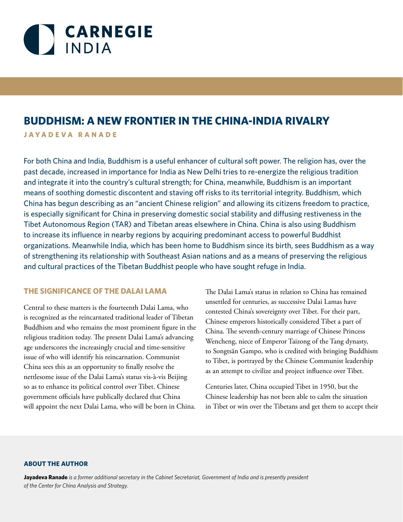

# **BUDDHISM: A NEW FRONTIER IN THE CHINA-INDIA RIVALRY**

**JAYADEVA RANADE**

For both China and India, Buddhism is a useful enhancer of cultural soft power. The religion has, over the past decade, increased in importance for India as New Delhi tries to re-energize the religious tradition and integrate it into the country's cultural strength; for China, meanwhile, Buddhism is an important means of soothing domestic discontent and staving off risks to its territorial integrity. Buddhism, which China has begun describing as an "ancient Chinese religion" and allowing its citizens freedom to practice, is especially significant for China in preserving domestic social stability and diffusing restiveness in the Tibet Autonomous Region (TAR) and Tibetan areas elsewhere in China. China is also using Buddhism to increase its influence in nearby regions by acquiring predominant access to powerful Buddhist organizations. Meanwhile India, which has been home to Buddhism since its birth, sees Buddhism as a way of strengthening its relationship with Southeast Asian nations and as a means of preserving the religious and cultural practices of the Tibetan Buddhist people who have sought refuge in India.

#### **THE SIGNIFICANCE OF THE DALAI LAMA**

Central to these matters is the fourteenth Dalai Lama, who is recognized as the reincarnated traditional leader of Tibetan Buddhism and who remains the most prominent figure in the religious tradition today. The present Dalai Lama's advancing age underscores the increasingly crucial and time-sensitive issue of who will identify his reincarnation. Communist China sees this as an opportunity to finally resolve the nettlesome issue of the Dalai Lama's status vis-à-vis Beijing so as to enhance its political control over Tibet. Chinese government officials have publically declared that China will appoint the next Dalai Lama, who will be born in China.

The Dalai Lama's status in relation to China has remained unsettled for centuries, as successive Dalai Lamas have contested China's sovereignty over Tibet. For their part, Chinese emperors historically considered Tibet a part of China. The seventh-century marriage of Chinese Princess Wencheng, niece of Emperor Taizong of the Tang dynasty, to Songtsän Gampo, who is credited with bringing Buddhism to Tibet, is portrayed by the Chinese Communist leadership as an attempt to civilize and project influence over Tibet.

Centuries later, China occupied Tibet in 1950, but the Chinese leadership has not been able to calm the situation in Tibet or win over the Tibetans and get them to accept their

#### **ABOUT THE AUTHOR**

**Jayadeva Ranade** *is a former additional secretary in the Cabinet Secretariat, Government of India and is presently president of the Center for China Analysis and Strategy.*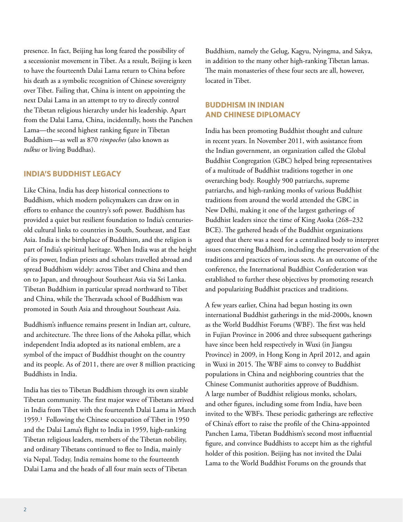presence. In fact, Beijing has long feared the possibility of a secessionist movement in Tibet. As a result, Beijing is keen to have the fourteenth Dalai Lama return to China before his death as a symbolic recognition of Chinese sovereignty over Tibet. Failing that, China is intent on appointing the next Dalai Lama in an attempt to try to directly control the Tibetan religious hierarchy under his leadership. Apart from the Dalai Lama, China, incidentally, hosts the Panchen Lama—the second highest ranking figure in Tibetan Buddhism—as well as 870 *rimpoches* (also known as *tulkus* or living Buddhas).

#### **INDIA'S BUDDHIST LEGACY**

Like China, India has deep historical connections to Buddhism, which modern policymakers can draw on in efforts to enhance the country's soft power. Buddhism has provided a quiet but resilient foundation to India's centuriesold cultural links to countries in South, Southeast, and East Asia. India is the birthplace of Buddhism, and the religion is part of India's spiritual heritage. When India was at the height of its power, Indian priests and scholars travelled abroad and spread Buddhism widely: across Tibet and China and then on to Japan, and throughout Southeast Asia via Sri Lanka. Tibetan Buddhism in particular spread northward to Tibet and China, while the Theravada school of Buddhism was promoted in South Asia and throughout Southeast Asia.

Buddhism's influence remains present in Indian art, culture, and architecture. The three lions of the Ashoka pillar, which independent India adopted as its national emblem, are a symbol of the impact of Buddhist thought on the country and its people. As of 2011, there are over 8 million practicing Buddhists in India.

India has ties to Tibetan Buddhism through its own sizable Tibetan community. The first major wave of Tibetans arrived in India from Tibet with the fourteenth Dalai Lama in March 1959.1 Following the Chinese occupation of Tibet in 1950 and the Dalai Lama's flight to India in 1959, high-ranking Tibetan religious leaders, members of the Tibetan nobility, and ordinary Tibetans continued to flee to India, mainly via Nepal. Today, India remains home to the fourteenth Dalai Lama and the heads of all four main sects of Tibetan

Buddhism, namely the Gelug, Kagyu, Nyingma, and Sakya, in addition to the many other high-ranking Tibetan lamas. The main monasteries of these four sects are all, however, located in Tibet.

## **BUDDHISM IN INDIAN AND CHINESE DIPLOMACY**

India has been promoting Buddhist thought and culture in recent years. In November 2011, with assistance from the Indian government, an organization called the Global Buddhist Congregation (GBC) helped bring representatives of a multitude of Buddhist traditions together in one overarching body. Roughly 900 patriarchs, supreme patriarchs, and high-ranking monks of various Buddhist traditions from around the world attended the GBC in New Delhi, making it one of the largest gatherings of Buddhist leaders since the time of King Asoka (268–232 BCE). The gathered heads of the Buddhist organizations agreed that there was a need for a centralized body to interpret issues concerning Buddhism, including the preservation of the traditions and practices of various sects. As an outcome of the conference, the International Buddhist Confederation was established to further these objectives by promoting research and popularizing Buddhist practices and traditions.

A few years earlier, China had begun hosting its own international Buddhist gatherings in the mid-2000s, known as the World Buddhist Forums (WBF). The first was held in Fujian Province in 2006 and three subsequent gatherings have since been held respectively in Wuxi (in Jiangsu Province) in 2009, in Hong Kong in April 2012, and again in Wuxi in 2015. The WBF aims to convey to Buddhist populations in China and neighboring countries that the Chinese Communist authorities approve of Buddhism. A large number of Buddhist religious monks, scholars, and other figures, including some from India, have been invited to the WBFs. These periodic gatherings are reflective of China's effort to raise the profile of the China-appointed Panchen Lama, Tibetan Buddhism's second most influential figure, and convince Buddhists to accept him as the rightful holder of this position. Beijing has not invited the Dalai Lama to the World Buddhist Forums on the grounds that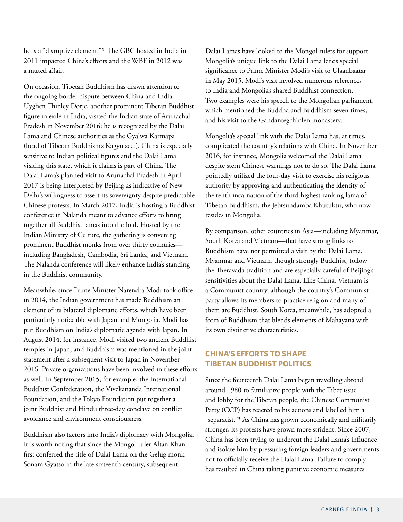he is a "disruptive element."2 The GBC hosted in India in 2011 impacted China's efforts and the WBF in 2012 was a muted affair.

On occasion, Tibetan Buddhism has drawn attention to the ongoing border dispute between China and India. Uyghen Thinley Dorje, another prominent Tibetan Buddhist figure in exile in India, visited the Indian state of Arunachal Pradesh in November 2016; he is recognized by the Dalai Lama and Chinese authorities as the Gyalwa Karmapa (head of Tibetan Buddhism's Kagyu sect). China is especially sensitive to Indian political figures and the Dalai Lama visiting this state, which it claims is part of China. The Dalai Lama's planned visit to Arunachal Pradesh in April 2017 is being interpreted by Beijing as indicative of New Delhi's willingness to assert its sovereignty despite predictable Chinese protests. In March 2017, India is hosting a Buddhist conference in Nalanda meant to advance efforts to bring together all Buddhist lamas into the fold. Hosted by the Indian Ministry of Culture, the gathering is convening prominent Buddhist monks from over thirty countries including Bangladesh, Cambodia, Sri Lanka, and Vietnam. The Nalanda conference will likely enhance India's standing in the Buddhist community.

Meanwhile, since Prime Minister Narendra Modi took office in 2014, the Indian government has made Buddhism an element of its bilateral diplomatic efforts, which have been particularly noticeable with Japan and Mongolia. Modi has put Buddhism on India's diplomatic agenda with Japan. In August 2014, for instance, Modi visited two ancient Buddhist temples in Japan, and Buddhism was mentioned in the joint statement after a subsequent visit to Japan in November 2016. Private organizations have been involved in these efforts as well. In September 2015, for example, the International Buddhist Confederation, the Vivekananda International Foundation, and the Tokyo Foundation put together a joint Buddhist and Hindu three-day conclave on conflict avoidance and environment consciousness.

Buddhism also factors into India's diplomacy with Mongolia. It is worth noting that since the Mongol ruler Altan Khan first conferred the title of Dalai Lama on the Gelug monk Sonam Gyatso in the late sixteenth century, subsequent

Dalai Lamas have looked to the Mongol rulers for support. Mongolia's unique link to the Dalai Lama lends special significance to Prime Minister Modi's visit to Ulaanbaatar in May 2015. Modi's visit involved numerous references to India and Mongolia's shared Buddhist connection. Two examples were his speech to the Mongolian parliament, which mentioned the Buddha and Buddhism seven times, and his visit to the Gandantegchinlen monastery.

Mongolia's special link with the Dalai Lama has, at times, complicated the country's relations with China. In November 2016, for instance, Mongolia welcomed the Dalai Lama despite stern Chinese warnings not to do so. The Dalai Lama pointedly utilized the four-day visit to exercise his religious authority by approving and authenticating the identity of the tenth incarnation of the third-highest ranking lama of Tibetan Buddhism, the Jebtsundamba Khutuktu, who now resides in Mongolia.

By comparison, other countries in Asia—including Myanmar, South Korea and Vietnam—that have strong links to Buddhism have not permitted a visit by the Dalai Lama. Myanmar and Vietnam, though strongly Buddhist, follow the Theravada tradition and are especially careful of Beijing's sensitivities about the Dalai Lama. Like China, Vietnam is a Communist country, although the country's Communist party allows its members to practice religion and many of them are Buddhist. South Korea, meanwhile, has adopted a form of Buddhism that blends elements of Mahayana with its own distinctive characteristics.

## **CHINA'S EFFORTS TO SHAPE TIBETAN BUDDHIST POLITICS**

Since the fourteenth Dalai Lama began travelling abroad around 1980 to familiarize people with the Tibet issue and lobby for the Tibetan people, the Chinese Communist Party (CCP) has reacted to his actions and labelled him a "separatist."3 As China has grown economically and militarily stronger, its protests have grown more strident. Since 2007, China has been trying to undercut the Dalai Lama's influence and isolate him by pressuring foreign leaders and governments not to officially receive the Dalai Lama. Failure to comply has resulted in China taking punitive economic measures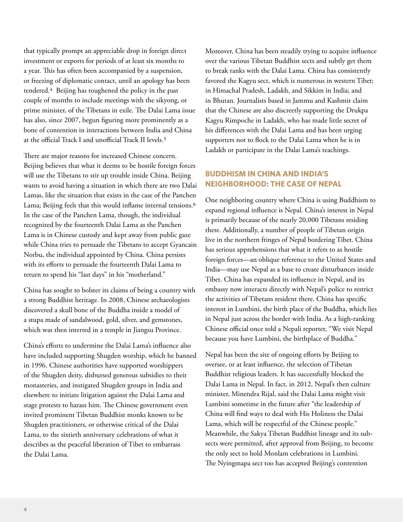that typically prompt an appreciable drop in foreign direct investment or exports for periods of at least six months to a year. This has often been accompanied by a suspension, or freezing of diplomatic contact, until an apology has been tendered.4 Beijing has toughened the policy in the past couple of months to include meetings with the sikyong, or prime minister, of the Tibetans in exile. The Dalai Lama issue has also, since 2007, begun figuring more prominently as a bone of contention in interactions between India and China at the official Track I and unofficial Track II levels.5

There are major reasons for increased Chinese concern. Beijing believes that what it deems to be hostile foreign forces will use the Tibetans to stir up trouble inside China. Beijing wants to avoid having a situation in which there are two Dalai Lamas, like the situation that exists in the case of the Panchen Lama; Beijing feels that this would inflame internal tensions.<sup>6</sup> In the case of the Panchen Lama, though, the individual recognized by the fourteenth Dalai Lama as the Panchen Lama is in Chinese custody and kept away from public gaze while China tries to persuade the Tibetans to accept Gyancain Norbu, the individual appointed by China. China persists with its efforts to persuade the fourteenth Dalai Lama to return to spend his "last days" in his "motherland."

China has sought to bolster its claims of being a country with a strong Buddhist heritage. In 2008, Chinese archaeologists discovered a skull bone of the Buddha inside a model of a stupa made of sandalwood, gold, silver, and gemstones, which was then interred in a temple in Jiangsu Province.

China's efforts to undermine the Dalai Lama's influence also have included supporting Shugden worship, which he banned in 1996. Chinese authorities have supported worshippers of the Shugden deity, disbursed generous subsidies to their monasteries, and instigated Shugden groups in India and elsewhere to initiate litigation against the Dalai Lama and stage protests to harass him. The Chinese government even invited prominent Tibetan Buddhist monks known to be Shugden practitioners, or otherwise critical of the Dalai Lama, to the sixtieth anniversary celebrations of what it describes as the peaceful liberation of Tibet to embarrass the Dalai Lama.

Moreover, China has been steadily trying to acquire influence over the various Tibetan Buddhist sects and subtly get them to break ranks with the Dalai Lama. China has consistently favored the Kagyu sect, which is numerous in western Tibet; in Himachal Pradesh, Ladakh, and Sikkim in India; and in Bhutan. Journalists based in Jammu and Kashmir claim that the Chinese are also discreetly supporting the Drukpa Kagyu Rimpoche in Ladakh, who has made little secret of his differences with the Dalai Lama and has been urging supporters not to flock to the Dalai Lama when he is in Ladakh or participate in the Dalai Lama's teachings.

## **BUDDHISM IN CHINA AND INDIA'S NEIGHBORHOOD: THE CASE OF NEPAL**

One neighboring country where China is using Buddhism to expand regional influence is Nepal. China's interest in Nepal is primarily because of the nearly 20,000 Tibetans residing there. Additionally, a number of people of Tibetan origin live in the northern fringes of Nepal bordering Tibet. China has serious apprehensions that what it refers to as hostile foreign forces—an oblique reference to the United States and India—may use Nepal as a base to create disturbances inside Tibet. China has expanded its influence in Nepal, and its embassy now interacts directly with Nepal's police to restrict the activities of Tibetans resident there. China has specific interest in Lumbini, the birth place of the Buddha, which lies in Nepal just across the border with India. As a high-ranking Chinese official once told a Nepali reporter, "We visit Nepal because you have Lumbini, the birthplace of Buddha."

Nepal has been the site of ongoing efforts by Beijing to oversee, or at least influence, the selection of Tibetan Buddhist religious leaders. It has successfully blocked the Dalai Lama in Nepal. In fact, in 2012, Nepal's then culture minister, Minendra Rijal, said the Dalai Lama might visit Lumbini sometime in the future after "the leadership of China will find ways to deal with His Holiness the Dalai Lama, which will be respectful of the Chinese people." Meanwhile, the Sakya Tibetan Buddhist lineage and its subsects were permitted, after approval from Beijing, to become the only sect to hold Monlam celebrations in Lumbini. The Nyingmapa sect too has accepted Beijing's contention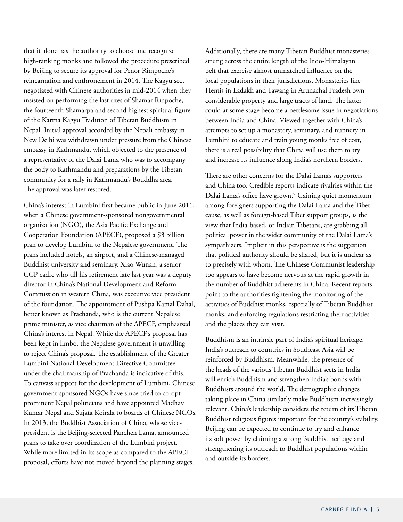that it alone has the authority to choose and recognize high-ranking monks and followed the procedure prescribed by Beijing to secure its approval for Penor Rimpoche's reincarnation and enthronement in 2014. The Kagyu sect negotiated with Chinese authorities in mid-2014 when they insisted on performing the last rites of Shamar Rinpoche, the fourteenth Shamarpa and second highest spiritual figure of the Karma Kagyu Tradition of Tibetan Buddhism in Nepal. Initial approval accorded by the Nepali embassy in New Delhi was withdrawn under pressure from the Chinese embassy in Kathmandu, which objected to the presence of a representative of the Dalai Lama who was to accompany the body to Kathmandu and preparations by the Tibetan community for a rally in Kathmandu's Bouddha area. The approval was later restored.

China's interest in Lumbini first became public in June 2011, when a Chinese government-sponsored nongovernmental organization (NGO), the Asia Pacific Exchange and Cooperation Foundation (APECF), proposed a \$3 billion plan to develop Lumbini to the Nepalese government. The plans included hotels, an airport, and a Chinese-managed Buddhist university and seminary. Xiao Wunan, a senior CCP cadre who till his retirement late last year was a deputy director in China's National Development and Reform Commission in western China, was executive vice president of the foundation. The appointment of Pushpa Kamal Dahal, better known as Prachanda, who is the current Nepalese prime minister, as vice chairman of the APECF, emphasized China's interest in Nepal. While the APECF's proposal has been kept in limbo, the Nepalese government is unwilling to reject China's proposal. The establishment of the Greater Lumbini National Development Directive Committee under the chairmanship of Prachanda is indicative of this. To canvass support for the development of Lumbini, Chinese government-sponsored NGOs have since tried to co-opt prominent Nepal politicians and have appointed Madhav Kumar Nepal and Sujata Koirala to boards of Chinese NGOs. In 2013, the Buddhist Association of China, whose vicepresident is the Beijing-selected Panchen Lama, announced plans to take over coordination of the Lumbini project. While more limited in its scope as compared to the APECF proposal, efforts have not moved beyond the planning stages.

Additionally, there are many Tibetan Buddhist monasteries strung across the entire length of the Indo-Himalayan belt that exercise almost unmatched influence on the local populations in their jurisdictions. Monasteries like Hemis in Ladakh and Tawang in Arunachal Pradesh own considerable property and large tracts of land. The latter could at some stage become a nettlesome issue in negotiations between India and China. Viewed together with China's attempts to set up a monastery, seminary, and nunnery in Lumbini to educate and train young monks free of cost, there is a real possibility that China will use them to try and increase its influence along India's northern borders.

There are other concerns for the Dalai Lama's supporters and China too. Credible reports indicate rivalries within the Dalai Lama's office have grown.7 Gaining quiet momentum among foreigners supporting the Dalai Lama and the Tibet cause, as well as foreign-based Tibet support groups, is the view that India-based, or Indian Tibetans, are grabbing all political power in the wider community of the Dalai Lama's sympathizers. Implicit in this perspective is the suggestion that political authority should be shared, but it is unclear as to precisely with whom. The Chinese Communist leadership too appears to have become nervous at the rapid growth in the number of Buddhist adherents in China. Recent reports point to the authorities tightening the monitoring of the activities of Buddhist monks, especially of Tibetan Buddhist monks, and enforcing regulations restricting their activities and the places they can visit.

Buddhism is an intrinsic part of India's spiritual heritage. India's outreach to countries in Southeast Asia will be reinforced by Buddhism. Meanwhile, the presence of the heads of the various Tibetan Buddhist sects in India will enrich Buddhism and strengthen India's bonds with Buddhists around the world. The demographic changes taking place in China similarly make Buddhism increasingly relevant. China's leadership considers the return of its Tibetan Buddhist religious figures important for the country's stability. Beijing can be expected to continue to try and enhance its soft power by claiming a strong Buddhist heritage and strengthening its outreach to Buddhist populations within and outside its borders.